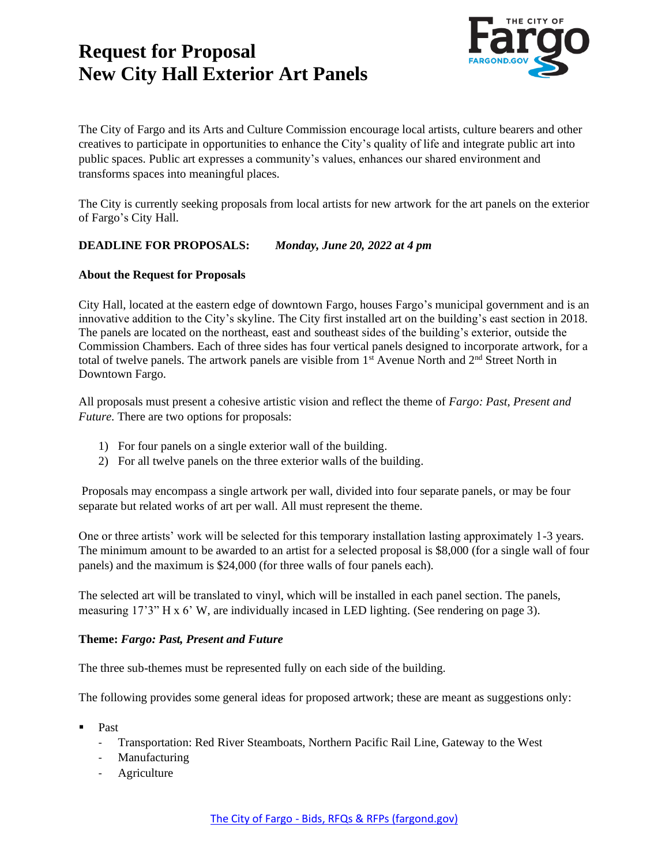

The City of Fargo and its Arts and Culture Commission encourage local artists, culture bearers and other creatives to participate in opportunities to enhance the City's quality of life and integrate public art into public spaces. Public art expresses a community's values, enhances our shared environment and transforms spaces into meaningful places.

The City is currently seeking proposals from local artists for new artwork for the art panels on the exterior of Fargo's City Hall.

#### **DEADLINE FOR PROPOSALS:** *Monday, June 20, 2022 at 4 pm*

#### **About the Request for Proposals**

City Hall, located at the eastern edge of downtown Fargo, houses Fargo's municipal government and is an innovative addition to the City's skyline. The City first installed art on the building's east section in 2018. The panels are located on the northeast, east and southeast sides of the building's exterior, outside the Commission Chambers. Each of three sides has four vertical panels designed to incorporate artwork, for a total of twelve panels. The artwork panels are visible from 1<sup>st</sup> Avenue North and 2<sup>nd</sup> Street North in Downtown Fargo.

All proposals must present a cohesive artistic vision and reflect the theme of *Fargo: Past, Present and Future*. There are two options for proposals:

- 1) For four panels on a single exterior wall of the building.
- 2) For all twelve panels on the three exterior walls of the building.

Proposals may encompass a single artwork per wall, divided into four separate panels, or may be four separate but related works of art per wall. All must represent the theme.

One or three artists' work will be selected for this temporary installation lasting approximately 1-3 years. The minimum amount to be awarded to an artist for a selected proposal is \$8,000 (for a single wall of four panels) and the maximum is \$24,000 (for three walls of four panels each).

The selected art will be translated to vinyl, which will be installed in each panel section. The panels, measuring 17'3" H x 6' W, are individually incased in LED lighting. (See rendering on page 3).

#### **Theme:** *Fargo: Past, Present and Future*

The three sub-themes must be represented fully on each side of the building.

The following provides some general ideas for proposed artwork; these are meant as suggestions only:

- **Past** 
	- Transportation: Red River Steamboats, Northern Pacific Rail Line, Gateway to the West
	- Manufacturing
	- **Agriculture**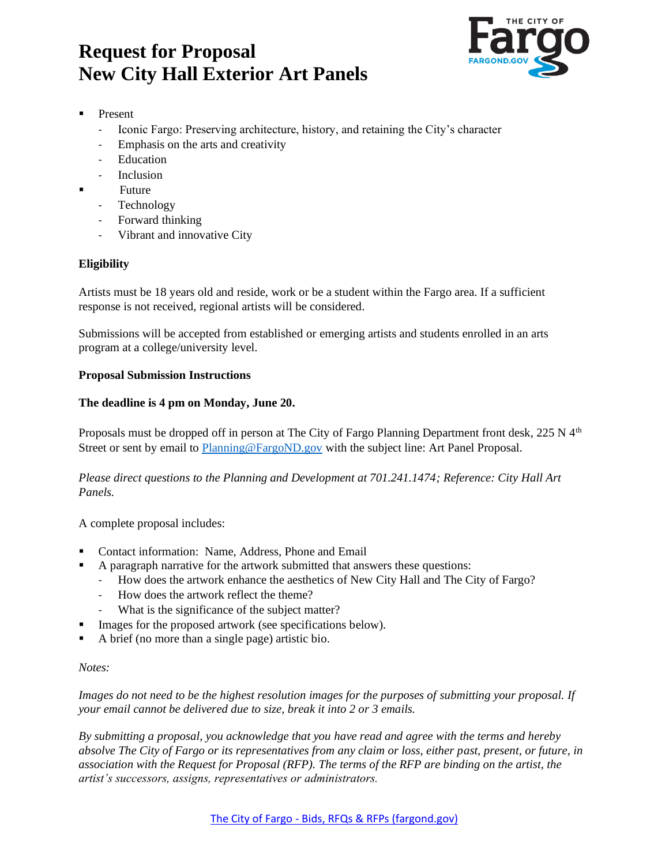

- **Present** 
	- Iconic Fargo: Preserving architecture, history, and retaining the City's character
	- Emphasis on the arts and creativity
	- Education
	- Inclusion
	- **Future** 
		- Technology
		- Forward thinking
		- Vibrant and innovative City

## **Eligibility**

Artists must be 18 years old and reside, work or be a student within the Fargo area. If a sufficient response is not received, regional artists will be considered.

Submissions will be accepted from established or emerging artists and students enrolled in an arts program at a college/university level.

### **Proposal Submission Instructions**

### **The deadline is 4 pm on Monday, June 20.**

Proposals must be dropped off in person at The City of Fargo Planning Department front desk, 225 N 4<sup>th</sup> Street or sent by email to [Planning@FargoND.gov](mailto:Planning@FargoND.gov) with the subject line: Art Panel Proposal.

*Please direct questions to the Planning and Development at 701.241.1474; Reference: City Hall Art Panels.* 

A complete proposal includes:

- Contact information: Name, Address, Phone and Email
- A paragraph narrative for the artwork submitted that answers these questions:
	- How does the artwork enhance the aesthetics of New City Hall and The City of Fargo?
	- How does the artwork reflect the theme?
	- What is the significance of the subject matter?
- Images for the proposed artwork (see specifications below).
- A brief (no more than a single page) artistic bio.

#### *Notes:*

*Images do not need to be the highest resolution images for the purposes of submitting your proposal. If your email cannot be delivered due to size, break it into 2 or 3 emails.*

*By submitting a proposal, you acknowledge that you have read and agree with the terms and hereby absolve The City of Fargo or its representatives from any claim or loss, either past, present, or future, in association with the Request for Proposal (RFP). The terms of the RFP are binding on the artist, the artist's successors, assigns, representatives or administrators.*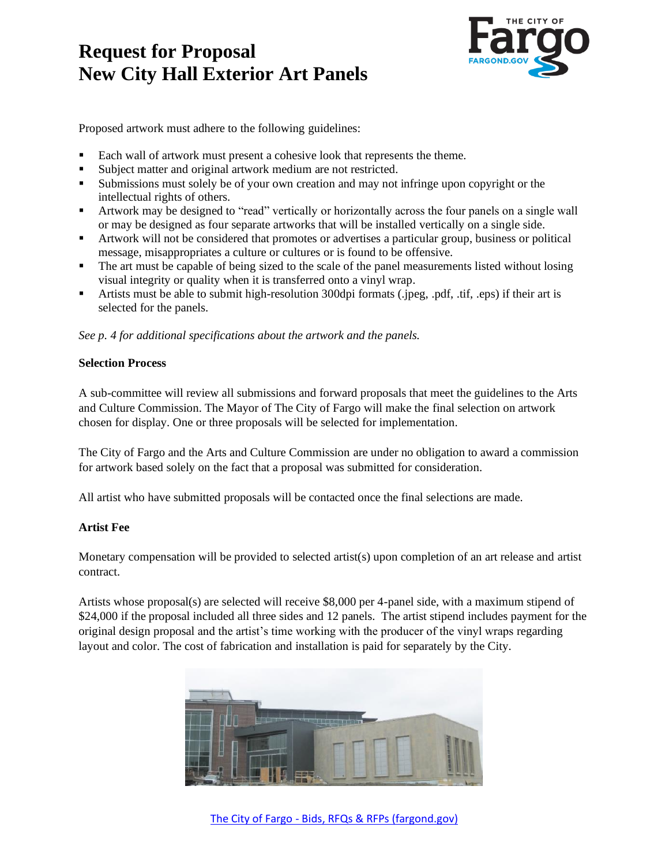

Proposed artwork must adhere to the following guidelines:

- Each wall of artwork must present a cohesive look that represents the theme.
- Subject matter and original artwork medium are not restricted.
- Submissions must solely be of your own creation and may not infringe upon copyright or the intellectual rights of others.
- Artwork may be designed to "read" vertically or horizontally across the four panels on a single wall or may be designed as four separate artworks that will be installed vertically on a single side.
- Artwork will not be considered that promotes or advertises a particular group, business or political message, misappropriates a culture or cultures or is found to be offensive.
- **•** The art must be capable of being sized to the scale of the panel measurements listed without losing visual integrity or quality when it is transferred onto a vinyl wrap.
- Artists must be able to submit high-resolution 300dpi formats (.jpeg, .pdf, .tif, .eps) if their art is selected for the panels.

*See p. 4 for additional specifications about the artwork and the panels.*

### **Selection Process**

A sub-committee will review all submissions and forward proposals that meet the guidelines to the Arts and Culture Commission. The Mayor of The City of Fargo will make the final selection on artwork chosen for display. One or three proposals will be selected for implementation.

The City of Fargo and the Arts and Culture Commission are under no obligation to award a commission for artwork based solely on the fact that a proposal was submitted for consideration.

All artist who have submitted proposals will be contacted once the final selections are made.

### **Artist Fee**

Monetary compensation will be provided to selected artist(s) upon completion of an art release and artist contract.

Artists whose proposal(s) are selected will receive \$8,000 per 4-panel side, with a maximum stipend of \$24,000 if the proposal included all three sides and 12 panels. The artist stipend includes payment for the original design proposal and the artist's time working with the producer of the vinyl wraps regarding layout and color. The cost of fabrication and installation is paid for separately by the City.